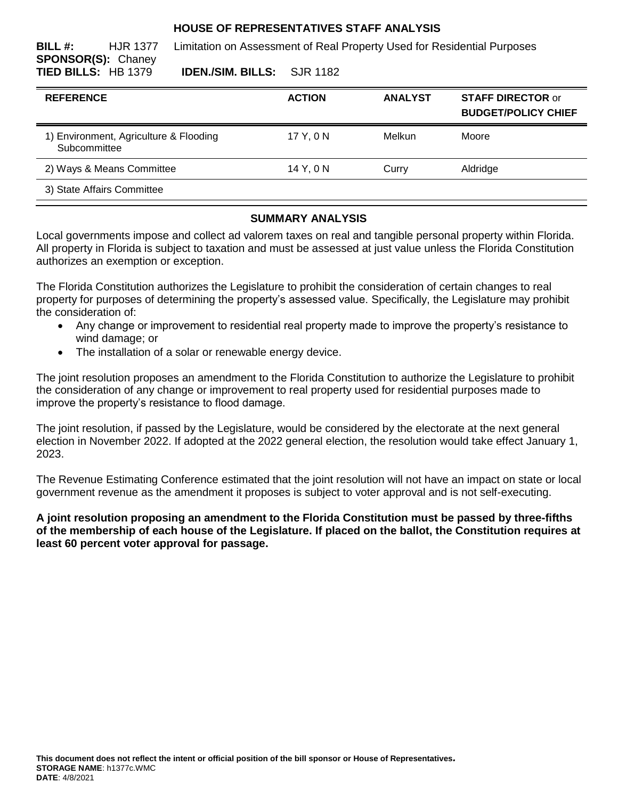### **HOUSE OF REPRESENTATIVES STAFF ANALYSIS**

**BILL #:** HJR 1377 Limitation on Assessment of Real Property Used for Residential Purposes

**SPONSOR(S):** Chaney

**TIED BILLS:** HB 1379 **IDEN./SIM. BILLS:** SJR 1182

| <b>REFERENCE</b>                                       | <b>ACTION</b> | <b>ANALYST</b> | <b>STAFF DIRECTOR or</b><br><b>BUDGET/POLICY CHIEF</b> |
|--------------------------------------------------------|---------------|----------------|--------------------------------------------------------|
| 1) Environment, Agriculture & Flooding<br>Subcommittee | 17 Y, 0 N     | Melkun         | Moore                                                  |
| 2) Ways & Means Committee                              | 14 Y, 0 N     | Curry          | Aldridge                                               |
| 3) State Affairs Committee                             |               |                |                                                        |

## **SUMMARY ANALYSIS**

Local governments impose and collect ad valorem taxes on real and tangible personal property within Florida. All property in Florida is subject to taxation and must be assessed at just value unless the Florida Constitution authorizes an exemption or exception.

The Florida Constitution authorizes the Legislature to prohibit the consideration of certain changes to real property for purposes of determining the property's assessed value. Specifically, the Legislature may prohibit the consideration of:

- Any change or improvement to residential real property made to improve the property's resistance to wind damage; or
- The installation of a solar or renewable energy device.

The joint resolution proposes an amendment to the Florida Constitution to authorize the Legislature to prohibit the consideration of any change or improvement to real property used for residential purposes made to improve the property's resistance to flood damage.

The joint resolution, if passed by the Legislature, would be considered by the electorate at the next general election in November 2022. If adopted at the 2022 general election, the resolution would take effect January 1, 2023.

The Revenue Estimating Conference estimated that the joint resolution will not have an impact on state or local government revenue as the amendment it proposes is subject to voter approval and is not self-executing.

**A joint resolution proposing an amendment to the Florida Constitution must be passed by three-fifths of the membership of each house of the Legislature. If placed on the ballot, the Constitution requires at least 60 percent voter approval for passage.**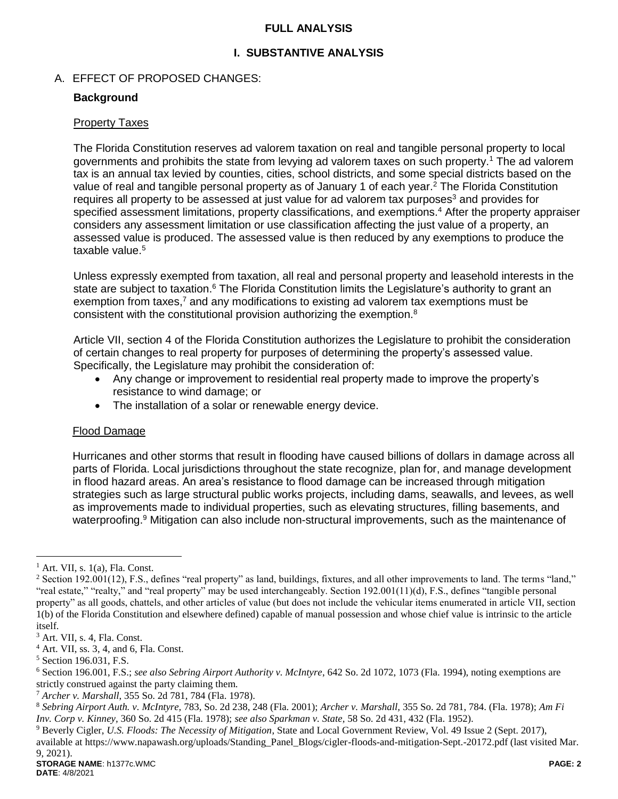## **FULL ANALYSIS**

## **I. SUBSTANTIVE ANALYSIS**

## A. EFFECT OF PROPOSED CHANGES:

### **Background**

#### Property Taxes

The Florida Constitution reserves ad valorem taxation on real and tangible personal property to local governments and prohibits the state from levying ad valorem taxes on such property.<sup>1</sup> The ad valorem tax is an annual tax levied by counties, cities, school districts, and some special districts based on the value of real and tangible personal property as of January 1 of each year.<sup>2</sup> The Florida Constitution requires all property to be assessed at just value for ad valorem tax purposes<sup>3</sup> and provides for specified assessment limitations, property classifications, and exemptions.<sup>4</sup> After the property appraiser considers any assessment limitation or use classification affecting the just value of a property, an assessed value is produced. The assessed value is then reduced by any exemptions to produce the taxable value.<sup>5</sup>

Unless expressly exempted from taxation, all real and personal property and leasehold interests in the state are subject to taxation.<sup>6</sup> The Florida Constitution limits the Legislature's authority to grant an exemption from taxes,<sup>7</sup> and any modifications to existing ad valorem tax exemptions must be consistent with the constitutional provision authorizing the exemption.<sup>8</sup>

Article VII, section 4 of the Florida Constitution authorizes the Legislature to prohibit the consideration of certain changes to real property for purposes of determining the property's assessed value. Specifically, the Legislature may prohibit the consideration of:

- Any change or improvement to residential real property made to improve the property's resistance to wind damage; or
- The installation of a solar or renewable energy device.

#### Flood Damage

Hurricanes and other storms that result in flooding have caused billions of dollars in damage across all parts of Florida. Local jurisdictions throughout the state recognize, plan for, and manage development in flood hazard areas. An area's resistance to flood damage can be increased through mitigation strategies such as large structural public works projects, including dams, seawalls, and levees, as well as improvements made to individual properties, such as elevating structures, filling basements, and waterproofing.<sup>9</sup> Mitigation can also include non-structural improvements, such as the maintenance of

 $\overline{a}$ 

 $<sup>1</sup>$  Art. VII, s. 1(a), Fla. Const.</sup>

 $2$  Section 192.001(12), F.S., defines "real property" as land, buildings, fixtures, and all other improvements to land. The terms "land," "real estate," "realty," and "real property" may be used interchangeably. Section 192.001(11)(d), F.S., defines "tangible personal property" as all goods, chattels, and other articles of value (but does not include the vehicular items enumerated in article VII, section 1(b) of the Florida Constitution and elsewhere defined) capable of manual possession and whose chief value is intrinsic to the article itself.

<sup>3</sup> Art. VII, s. 4, Fla. Const.

<sup>4</sup> Art. VII, ss. 3, 4, and 6, Fla. Const.

<sup>5</sup> Section 196.031, F.S.

<sup>6</sup> Section 196.001, F.S.; *see also Sebring Airport Authority v. McIntyre*, 642 So. 2d 1072, 1073 (Fla. 1994), noting exemptions are strictly construed against the party claiming them.

<sup>7</sup> *Archer v. Marshall*, 355 So. 2d 781, 784 (Fla. 1978).

<sup>8</sup> *Sebring Airport Auth. v. McIntyre,* 783, So. 2d 238, 248 (Fla. 2001); *Archer v. Marshall,* 355 So. 2d 781, 784. (Fla. 1978); *Am Fi Inv. Corp v. Kinney,* 360 So. 2d 415 (Fla. 1978); *see also Sparkman v. State,* 58 So. 2d 431, 432 (Fla. 1952).

<sup>9</sup> Beverly Cigler, *U.S. Floods: The Necessity of Mitigation*, State and Local Government Review, Vol. 49 Issue 2 (Sept. 2017), available at https://www.napawash.org/uploads/Standing\_Panel\_Blogs/cigler-floods-and-mitigation-Sept.-20172.pdf (last visited Mar.

<sup>9, 2021).</sup>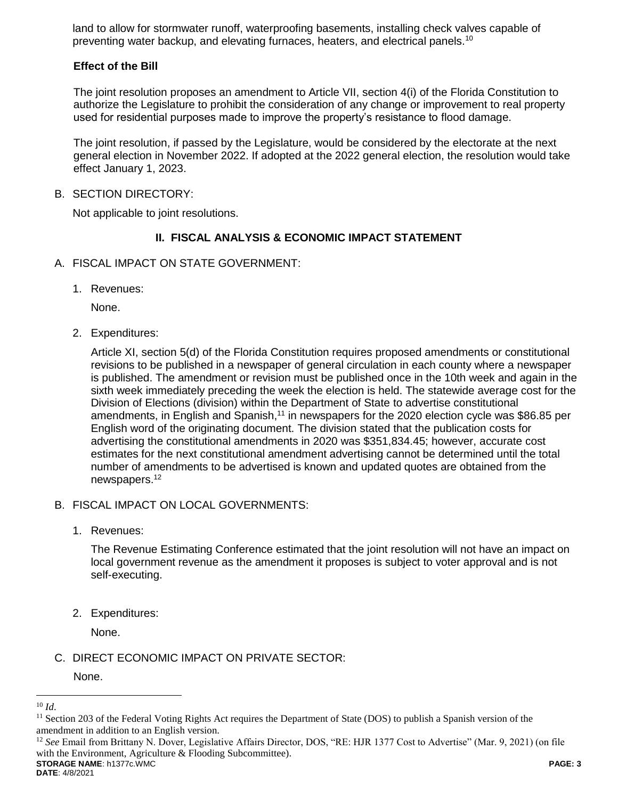land to allow for stormwater runoff, waterproofing basements, installing check valves capable of preventing water backup, and elevating furnaces, heaters, and electrical panels.<sup>10</sup>

## **Effect of the Bill**

The joint resolution proposes an amendment to Article VII, section 4(i) of the Florida Constitution to authorize the Legislature to prohibit the consideration of any change or improvement to real property used for residential purposes made to improve the property's resistance to flood damage.

The joint resolution, if passed by the Legislature, would be considered by the electorate at the next general election in November 2022. If adopted at the 2022 general election, the resolution would take effect January 1, 2023.

#### B. SECTION DIRECTORY:

Not applicable to joint resolutions.

## **II. FISCAL ANALYSIS & ECONOMIC IMPACT STATEMENT**

- A. FISCAL IMPACT ON STATE GOVERNMENT:
	- 1. Revenues:

None.

2. Expenditures:

Article XI, section 5(d) of the Florida Constitution requires proposed amendments or constitutional revisions to be published in a newspaper of general circulation in each county where a newspaper is published. The amendment or revision must be published once in the 10th week and again in the sixth week immediately preceding the week the election is held. The statewide average cost for the Division of Elections (division) within the Department of State to advertise constitutional amendments, in English and Spanish,<sup>11</sup> in newspapers for the 2020 election cycle was \$86.85 per English word of the originating document. The division stated that the publication costs for advertising the constitutional amendments in 2020 was \$351,834.45; however, accurate cost estimates for the next constitutional amendment advertising cannot be determined until the total number of amendments to be advertised is known and updated quotes are obtained from the newspapers.<sup>12</sup>

- B. FISCAL IMPACT ON LOCAL GOVERNMENTS:
	- 1. Revenues:

The Revenue Estimating Conference estimated that the joint resolution will not have an impact on local government revenue as the amendment it proposes is subject to voter approval and is not self-executing.

2. Expenditures:

None.

C. DIRECT ECONOMIC IMPACT ON PRIVATE SECTOR:

None.

**STORAGE NAME**: h1377c.WMC **PAGE: 3** <sup>12</sup> *See* Email from Brittany N. Dover, Legislative Affairs Director, DOS, "RE: HJR 1377 Cost to Advertise" (Mar. 9, 2021) (on file with the Environment, Agriculture & Flooding Subcommittee).

 $\overline{a}$ <sup>10</sup> *Id*.

 $11$  Section 203 of the Federal Voting Rights Act requires the Department of State (DOS) to publish a Spanish version of the amendment in addition to an English version.